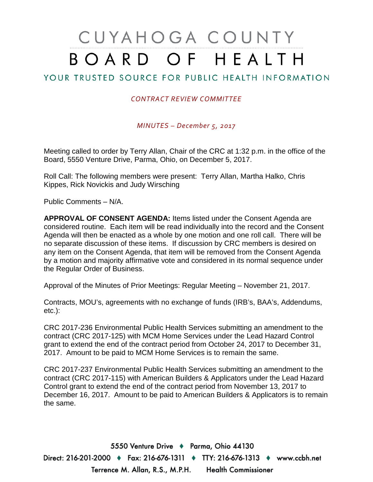# CUYAHOGA COUNTY BOARD OF HEALTH

## YOUR TRUSTED SOURCE FOR PUBLIC HEALTH INFORMATION

#### *CONTRACT REVIEW COMMITTEE*

*MINUTES – December 5, 2017*

Meeting called to order by Terry Allan, Chair of the CRC at 1:32 p.m. in the office of the Board, 5550 Venture Drive, Parma, Ohio, on December 5, 2017.

Roll Call: The following members were present: Terry Allan, Martha Halko, Chris Kippes, Rick Novickis and Judy Wirsching

Public Comments – N/A.

**APPROVAL OF CONSENT AGENDA:** Items listed under the Consent Agenda are considered routine. Each item will be read individually into the record and the Consent Agenda will then be enacted as a whole by one motion and one roll call. There will be no separate discussion of these items. If discussion by CRC members is desired on any item on the Consent Agenda, that item will be removed from the Consent Agenda by a motion and majority affirmative vote and considered in its normal sequence under the Regular Order of Business.

Approval of the Minutes of Prior Meetings: Regular Meeting – November 21, 2017.

Contracts, MOU's, agreements with no exchange of funds (IRB's, BAA's, Addendums, etc.):

CRC 2017-236 Environmental Public Health Services submitting an amendment to the contract (CRC 2017-125) with MCM Home Services under the Lead Hazard Control grant to extend the end of the contract period from October 24, 2017 to December 31, 2017. Amount to be paid to MCM Home Services is to remain the same.

CRC 2017-237 Environmental Public Health Services submitting an amendment to the contract (CRC 2017-115) with American Builders & Applicators under the Lead Hazard Control grant to extend the end of the contract period from November 13, 2017 to December 16, 2017. Amount to be paid to American Builders & Applicators is to remain the same.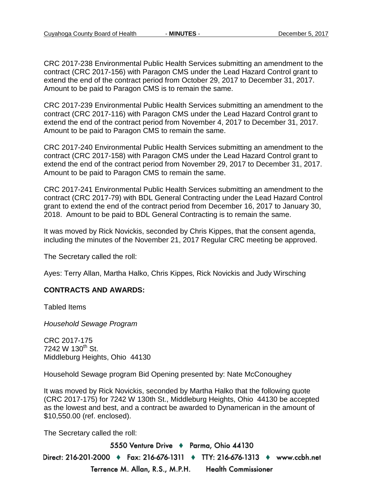CRC 2017-238 Environmental Public Health Services submitting an amendment to the contract (CRC 2017-156) with Paragon CMS under the Lead Hazard Control grant to extend the end of the contract period from October 29, 2017 to December 31, 2017. Amount to be paid to Paragon CMS is to remain the same.

CRC 2017-239 Environmental Public Health Services submitting an amendment to the contract (CRC 2017-116) with Paragon CMS under the Lead Hazard Control grant to extend the end of the contract period from November 4, 2017 to December 31, 2017. Amount to be paid to Paragon CMS to remain the same.

CRC 2017-240 Environmental Public Health Services submitting an amendment to the contract (CRC 2017-158) with Paragon CMS under the Lead Hazard Control grant to extend the end of the contract period from November 29, 2017 to December 31, 2017. Amount to be paid to Paragon CMS to remain the same.

CRC 2017-241 Environmental Public Health Services submitting an amendment to the contract (CRC 2017-79) with BDL General Contracting under the Lead Hazard Control grant to extend the end of the contract period from December 16, 2017 to January 30, 2018. Amount to be paid to BDL General Contracting is to remain the same.

It was moved by Rick Novickis, seconded by Chris Kippes, that the consent agenda, including the minutes of the November 21, 2017 Regular CRC meeting be approved.

The Secretary called the roll:

Ayes: Terry Allan, Martha Halko, Chris Kippes, Rick Novickis and Judy Wirsching

#### **CONTRACTS AND AWARDS:**

Tabled Items

*Household Sewage Program*

CRC 2017-175  $7242 \text{ W } 130^{\text{th}} \text{ St.}$ Middleburg Heights, Ohio 44130

Household Sewage program Bid Opening presented by: Nate McConoughey

It was moved by Rick Novickis, seconded by Martha Halko that the following quote (CRC 2017-175) for 7242 W 130th St., Middleburg Heights, Ohio 44130 be accepted as the lowest and best, and a contract be awarded to Dynamerican in the amount of \$10,550.00 (ref. enclosed).

The Secretary called the roll: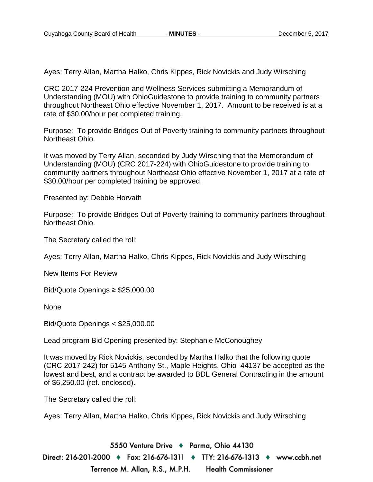Ayes: Terry Allan, Martha Halko, Chris Kippes, Rick Novickis and Judy Wirsching

CRC 2017-224 Prevention and Wellness Services submitting a Memorandum of Understanding (MOU) with OhioGuidestone to provide training to community partners throughout Northeast Ohio effective November 1, 2017. Amount to be received is at a rate of \$30.00/hour per completed training.

Purpose: To provide Bridges Out of Poverty training to community partners throughout Northeast Ohio.

It was moved by Terry Allan, seconded by Judy Wirsching that the Memorandum of Understanding (MOU) (CRC 2017-224) with OhioGuidestone to provide training to community partners throughout Northeast Ohio effective November 1, 2017 at a rate of \$30.00/hour per completed training be approved.

Presented by: Debbie Horvath

Purpose: To provide Bridges Out of Poverty training to community partners throughout Northeast Ohio.

The Secretary called the roll:

Ayes: Terry Allan, Martha Halko, Chris Kippes, Rick Novickis and Judy Wirsching

New Items For Review

Bid/Quote Openings ≥ \$25,000.00

None

Bid/Quote Openings < \$25,000.00

Lead program Bid Opening presented by: Stephanie McConoughey

It was moved by Rick Novickis, seconded by Martha Halko that the following quote (CRC 2017-242) for 5145 Anthony St., Maple Heights, Ohio 44137 be accepted as the lowest and best, and a contract be awarded to BDL General Contracting in the amount of \$6,250.00 (ref. enclosed).

The Secretary called the roll:

Ayes: Terry Allan, Martha Halko, Chris Kippes, Rick Novickis and Judy Wirsching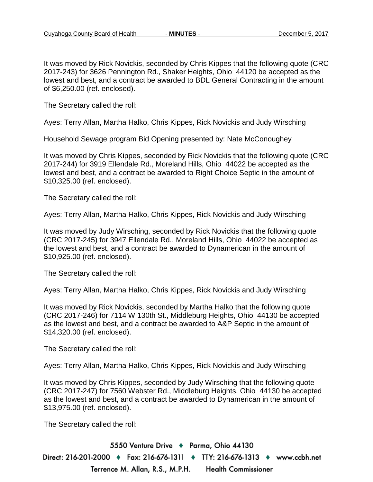It was moved by Rick Novickis, seconded by Chris Kippes that the following quote (CRC 2017-243) for 3626 Pennington Rd., Shaker Heights, Ohio 44120 be accepted as the lowest and best, and a contract be awarded to BDL General Contracting in the amount of \$6,250.00 (ref. enclosed).

The Secretary called the roll:

Ayes: Terry Allan, Martha Halko, Chris Kippes, Rick Novickis and Judy Wirsching

Household Sewage program Bid Opening presented by: Nate McConoughey

It was moved by Chris Kippes, seconded by Rick Novickis that the following quote (CRC 2017-244) for 3919 Ellendale Rd., Moreland Hills, Ohio 44022 be accepted as the lowest and best, and a contract be awarded to Right Choice Septic in the amount of \$10,325.00 (ref. enclosed).

The Secretary called the roll:

Ayes: Terry Allan, Martha Halko, Chris Kippes, Rick Novickis and Judy Wirsching

It was moved by Judy Wirsching, seconded by Rick Novickis that the following quote (CRC 2017-245) for 3947 Ellendale Rd., Moreland Hills, Ohio 44022 be accepted as the lowest and best, and a contract be awarded to Dynamerican in the amount of \$10,925.00 (ref. enclosed).

The Secretary called the roll:

Ayes: Terry Allan, Martha Halko, Chris Kippes, Rick Novickis and Judy Wirsching

It was moved by Rick Novickis, seconded by Martha Halko that the following quote (CRC 2017-246) for 7114 W 130th St., Middleburg Heights, Ohio 44130 be accepted as the lowest and best, and a contract be awarded to A&P Septic in the amount of \$14,320.00 (ref. enclosed).

The Secretary called the roll:

Ayes: Terry Allan, Martha Halko, Chris Kippes, Rick Novickis and Judy Wirsching

It was moved by Chris Kippes, seconded by Judy Wirsching that the following quote (CRC 2017-247) for 7560 Webster Rd., Middleburg Heights, Ohio 44130 be accepted as the lowest and best, and a contract be awarded to Dynamerican in the amount of \$13,975.00 (ref. enclosed).

The Secretary called the roll: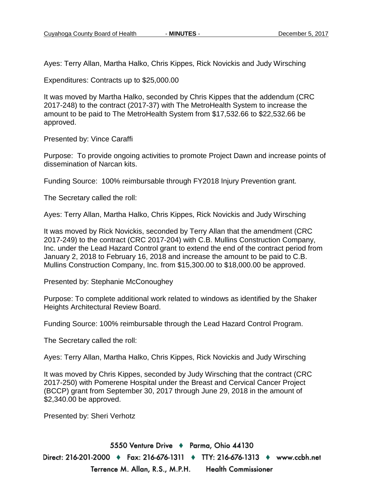Ayes: Terry Allan, Martha Halko, Chris Kippes, Rick Novickis and Judy Wirsching

Expenditures: Contracts up to \$25,000.00

It was moved by Martha Halko, seconded by Chris Kippes that the addendum (CRC 2017-248) to the contract (2017-37) with The MetroHealth System to increase the amount to be paid to The MetroHealth System from \$17,532.66 to \$22,532.66 be approved.

Presented by: Vince Caraffi

Purpose: To provide ongoing activities to promote Project Dawn and increase points of dissemination of Narcan kits.

Funding Source: 100% reimbursable through FY2018 Injury Prevention grant.

The Secretary called the roll:

Ayes: Terry Allan, Martha Halko, Chris Kippes, Rick Novickis and Judy Wirsching

It was moved by Rick Novickis, seconded by Terry Allan that the amendment (CRC 2017-249) to the contract (CRC 2017-204) with C.B. Mullins Construction Company, Inc. under the Lead Hazard Control grant to extend the end of the contract period from January 2, 2018 to February 16, 2018 and increase the amount to be paid to C.B. Mullins Construction Company, Inc. from \$15,300.00 to \$18,000.00 be approved.

Presented by: Stephanie McConoughey

Purpose: To complete additional work related to windows as identified by the Shaker Heights Architectural Review Board.

Funding Source: 100% reimbursable through the Lead Hazard Control Program.

The Secretary called the roll:

Ayes: Terry Allan, Martha Halko, Chris Kippes, Rick Novickis and Judy Wirsching

It was moved by Chris Kippes, seconded by Judy Wirsching that the contract (CRC 2017-250) with Pomerene Hospital under the Breast and Cervical Cancer Project (BCCP) grant from September 30, 2017 through June 29, 2018 in the amount of \$2,340.00 be approved.

Presented by: Sheri Verhotz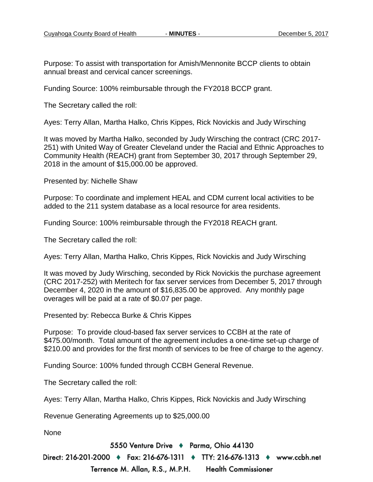Purpose: To assist with transportation for Amish/Mennonite BCCP clients to obtain annual breast and cervical cancer screenings.

Funding Source: 100% reimbursable through the FY2018 BCCP grant.

The Secretary called the roll:

Ayes: Terry Allan, Martha Halko, Chris Kippes, Rick Novickis and Judy Wirsching

It was moved by Martha Halko, seconded by Judy Wirsching the contract (CRC 2017- 251) with United Way of Greater Cleveland under the Racial and Ethnic Approaches to Community Health (REACH) grant from September 30, 2017 through September 29, 2018 in the amount of \$15,000.00 be approved.

Presented by: Nichelle Shaw

Purpose: To coordinate and implement HEAL and CDM current local activities to be added to the 211 system database as a local resource for area residents.

Funding Source: 100% reimbursable through the FY2018 REACH grant.

The Secretary called the roll:

Ayes: Terry Allan, Martha Halko, Chris Kippes, Rick Novickis and Judy Wirsching

It was moved by Judy Wirsching, seconded by Rick Novickis the purchase agreement (CRC 2017-252) with Meritech for fax server services from December 5, 2017 through December 4, 2020 in the amount of \$16,835.00 be approved. Any monthly page overages will be paid at a rate of \$0.07 per page.

Presented by: Rebecca Burke & Chris Kippes

Purpose: To provide cloud-based fax server services to CCBH at the rate of \$475.00/month. Total amount of the agreement includes a one-time set-up charge of \$210.00 and provides for the first month of services to be free of charge to the agency.

Funding Source: 100% funded through CCBH General Revenue.

The Secretary called the roll:

Ayes: Terry Allan, Martha Halko, Chris Kippes, Rick Novickis and Judy Wirsching

Revenue Generating Agreements up to \$25,000.00

None

5550 Venture Drive + Parma, Ohio 44130

Direct: 216-201-2000 ♦ Fax: 216-676-1311 ♦ TTY: 216-676-1313 ♦ www.ccbh.net Terrence M. Allan, R.S., M.P.H. **Health Commissioner**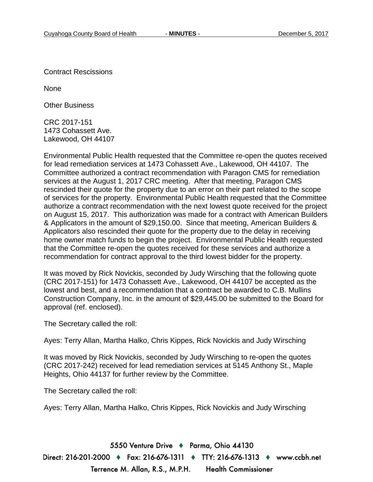Contract Rescissions

None

Other Business

CRC 2017-151 1473 Cohassett Ave. Lakewood, OH 44107

Environmental Public Health requested that the Committee re-open the quotes received for lead remediation services at 1473 Cohassett Ave., Lakewood, OH 44107. The Committee authorized a contract recommendation with Paragon CMS for remediation services at the August 1, 2017 CRC meeting. After that meeting, Paragon CMS rescinded their quote for the property due to an error on their part related to the scope of services for the property. Environmental Public Health requested that the Committee authorize a contract recommendation with the next lowest quote received for the project on August 15, 2017. This authorization was made for a contract with American Builders & Applicators in the amount of \$29,150.00. Since that meeting, American Builders & Applicators also rescinded their quote for the property due to the delay in receiving home owner match funds to begin the project. Environmental Public Health requested that the Committee re-open the quotes received for these services and authorize a recommendation for contract approval to the third lowest bidder for the property.

It was moved by Rick Novickis, seconded by Judy Wirsching that the following quote (CRC 2017-151) for 1473 Cohassett Ave., Lakewood, OH 44107 be accepted as the lowest and best, and a recommendation that a contract be awarded to C.B. Mullins Construction Company, Inc. in the amount of \$29,445.00 be submitted to the Board for approval (ref. enclosed).

The Secretary called the roll:

Ayes: Terry Allan, Martha Halko, Chris Kippes, Rick Novickis and Judy Wirsching

It was moved by Rick Novickis, seconded by Judy Wirsching to re-open the quotes (CRC 2017-242) received for lead remediation services at 5145 Anthony St., Maple Heights, Ohio 44137 for further review by the Committee.

The Secretary called the roll:

Ayes: Terry Allan, Martha Halko, Chris Kippes, Rick Novickis and Judy Wirsching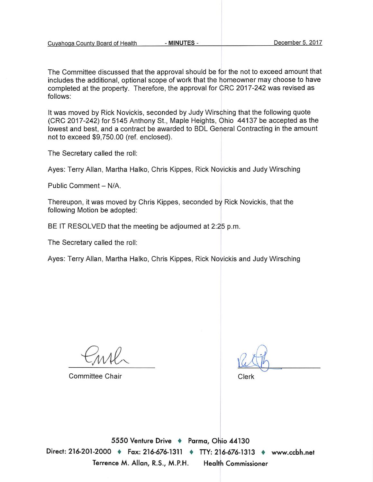| Cuyahoga County Board of Health |  |
|---------------------------------|--|
|---------------------------------|--|

The Committee discussed that the approval should be for the not to exceed amount that includes the additional, optional scope of work that the homeowner may choose to have completed at the property. Therefore, the approval for CRC 2017-242 was revised as follows:

It was moved by Rick Novickis, seconded by Judy Wirsching that the following quote (CRC 2017-242) for 5145 Anthony St., Maple Heights, Ohio 44137 be accepted as the lowest and best, and a contract be awarded to BDL General Contracting in the amount not to exceed \$9,750.00 (ref. enclosed).

The Secretary called the roll:

Ayes: Terry Allan, Martha Halko, Chris Kippes, Rick Novickis and Judy Wirsching

Public Comment - N/A.

Thereupon, it was moved by Chris Kippes, seconded by Rick Novickis, that the following Motion be adopted:

BE IT RESOLVED that the meeting be adjourned at 2:25 p.m.

The Secretary called the roll:

Ayes: Terry Allan, Martha Halko, Chris Kippes, Rick Novickis and Judy Wirsching

**Committee Chair** 

Clerk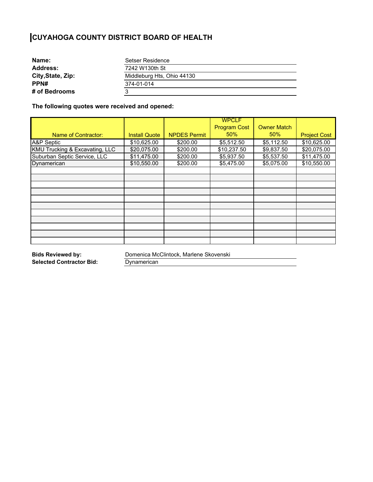| Name:             | Setser Residence           |  |
|-------------------|----------------------------|--|
| <b>Address:</b>   | 7242 W130th St             |  |
| City, State, Zip: | Middleburg Hts, Ohio 44130 |  |
| PPN#              | 374-01-014                 |  |
| # of Bedrooms     | ാ                          |  |

**The following quotes were received and opened:** 

|                                |                      |                     | <b>WPCLF</b>        |                    |                     |
|--------------------------------|----------------------|---------------------|---------------------|--------------------|---------------------|
|                                |                      |                     | <b>Program Cost</b> | <b>Owner Match</b> |                     |
| <b>Name of Contractor:</b>     | <b>Install Quote</b> | <b>NPDES Permit</b> | 50%                 | 50%                | <b>Project Cost</b> |
| A&P Septic                     | \$10,625.00          | \$200.00            | \$5,512.50          | \$5,112.50         | \$10,625.00         |
| KMU Trucking & Excavating, LLC | \$20,075.00          | \$200.00            | \$10,237.50         | \$9,837.50         | \$20,075.00         |
| Suburban Septic Service, LLC   | \$11,475.00          | \$200.00            | \$5,937.50          | \$5,537.50         | \$11,475.00         |
| Dynamerican                    | \$10,550.00          | \$200.00            | \$5,475.00          | \$5,075.00         | \$10,550.00         |
|                                |                      |                     |                     |                    |                     |
|                                |                      |                     |                     |                    |                     |
|                                |                      |                     |                     |                    |                     |
|                                |                      |                     |                     |                    |                     |
|                                |                      |                     |                     |                    |                     |
|                                |                      |                     |                     |                    |                     |
|                                |                      |                     |                     |                    |                     |
|                                |                      |                     |                     |                    |                     |
|                                |                      |                     |                     |                    |                     |
|                                |                      |                     |                     |                    |                     |
|                                |                      |                     |                     |                    |                     |

**Bids Reviewed by: Selected Contractor Bid:**  Domenica McClintock, Marlene Skovenski

**Dynamerican**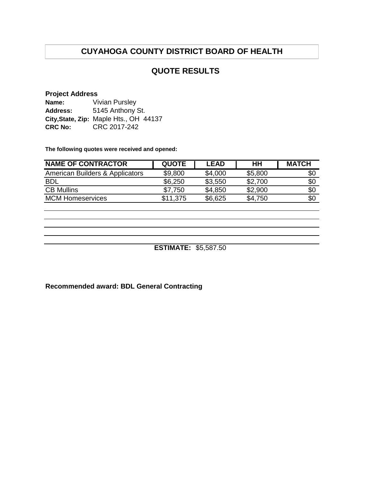#### **QUOTE RESULTS**

#### **Project Address**

| Name:          | <b>Vivian Pursley</b>                  |  |  |  |  |
|----------------|----------------------------------------|--|--|--|--|
| Address:       | 5145 Anthony St.                       |  |  |  |  |
|                | City, State, Zip: Maple Hts., OH 44137 |  |  |  |  |
| <b>CRC No:</b> | CRC 2017-242                           |  |  |  |  |

**The following quotes were received and opened:**

| <b>NAME OF CONTRACTOR</b>       | <b>QUOTE</b> | <b>LEAD</b> | HН      | <b>MATCH</b> |
|---------------------------------|--------------|-------------|---------|--------------|
| American Builders & Applicators | \$9,800      | \$4,000     | \$5,800 | \$0          |
| <b>BDL</b>                      | \$6,250      | \$3,550     | \$2,700 | \$0          |
| <b>CB Mullins</b>               | \$7,750      | \$4,850     | \$2,900 | \$0          |
| <b>MCM Homeservices</b>         | \$11,375     | \$6,625     | \$4,750 | \$0          |

**ESTIMATE:** \$5,587.50

**Recommended award: BDL General Contracting**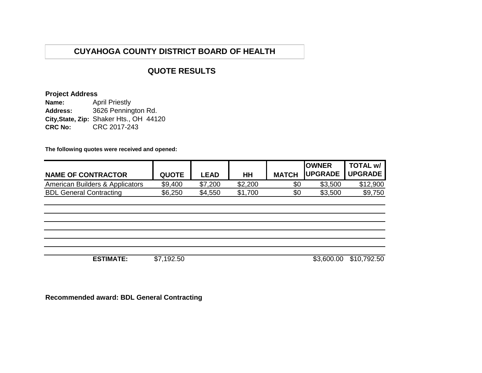### **QUOTE RESULTS**

#### **Project Address**

**Name: Address: City,State, Zip:** Shaker Hts., OH 44120 **CRC No:** CRC 2017-243 April Priestly 3626 Pennington Rd.

**The following quotes were received and opened:**

| <b>NAME OF CONTRACTOR</b>       | <b>QUOTE</b> | <b>LEAD</b> | HH      | <b>MATCH</b> | <b>IOWNER</b><br><b> UPGRADE   UPGRADE</b> | <b>TOTAL w/</b> |
|---------------------------------|--------------|-------------|---------|--------------|--------------------------------------------|-----------------|
| American Builders & Applicators | \$9,400      | \$7,200     | \$2,200 | \$0          | \$3,500                                    | \$12,900        |
| <b>BDL General Contracting</b>  | \$6,250      | \$4,550     | \$1,700 | \$0          | \$3,500                                    | \$9,750         |

**ESTIMATE:** \$7,192.50 \$3,600.00 \$10,792.50

**Recommended award: BDL General Contracting**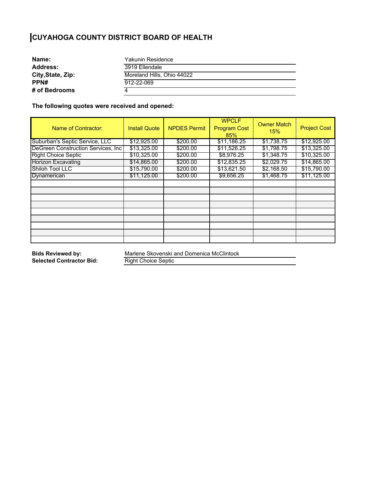| Name:             | Yakunin Residence          |  |
|-------------------|----------------------------|--|
| <b>Address:</b>   | 3919 Ellendale             |  |
| City, State, Zip: | Moreland Hills, Ohio 44022 |  |
| PPN#              | 912-22-069                 |  |
| # of Bedrooms     |                            |  |

**The following quotes were received and opened:** 

| Name of Contractor:                 | <b>Install Quote</b> | <b>NPDES Permit</b> | <b>WPCLF</b><br><b>Program Cost</b><br>85% | <b>Owner Match</b><br>15% | <b>Project Cost</b> |
|-------------------------------------|----------------------|---------------------|--------------------------------------------|---------------------------|---------------------|
| Suburban's Septic Service, LLC      | \$12,925.00          | \$200.00            | \$11,186.25                                | \$1,738.75                | \$12,925.00         |
| DeGreen Construction Services, Inc. | \$13,325.00          | \$200.00            | \$11,526.25                                | \$1,798.75                | \$13,325.00         |
| <b>Right Choice Septic</b>          | \$10,325.00          | \$200.00            | \$8,976.25                                 | \$1,348.75                | \$10,325.00         |
| <b>Horizon Excavating</b>           | \$14,865.00          | \$200.00            | \$12,835.25                                | \$2,029.75                | \$14,865.00         |
| Shiloh Tool LLC                     | \$15,790.00          | \$200.00            | \$13,621.50                                | \$2,168.50                | \$15,790.00         |
| Dynamerican                         | \$11,125.00          | \$200.00            | \$9,656.25                                 | \$1,468.75                | \$11,125.00         |
|                                     |                      |                     |                                            |                           |                     |
|                                     |                      |                     |                                            |                           |                     |
|                                     |                      |                     |                                            |                           |                     |
|                                     |                      |                     |                                            |                           |                     |
|                                     |                      |                     |                                            |                           |                     |
|                                     |                      |                     |                                            |                           |                     |
|                                     |                      |                     |                                            |                           |                     |
|                                     |                      |                     |                                            |                           |                     |
|                                     |                      |                     |                                            |                           |                     |

**Bids Reviewed by: Selected Contractor Bid:**  Marlene Skovenski and Domenica McClintock

Right Choice Septic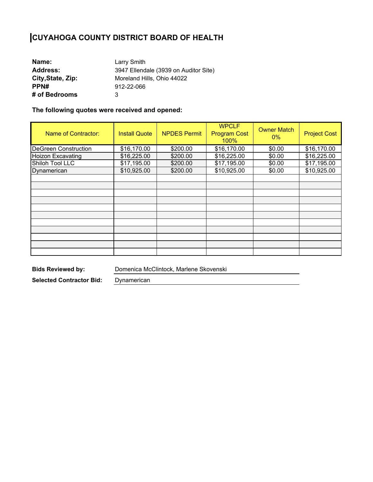| Name:             | Larry Smith                           |
|-------------------|---------------------------------------|
| <b>Address:</b>   | 3947 Ellendale (3939 on Auditor Site) |
| City, State, Zip: | Moreland Hills, Ohio 44022            |
| PPN#              | 912-22-066                            |
| # of Bedrooms     | 3                                     |

**The following quotes were received and opened:** 

| Name of Contractor:         | <b>Install Quote</b> | <b>NPDES Permit</b> | <b>WPCLF</b><br><b>Program Cost</b><br>100% | <b>Owner Match</b><br>$0\%$ | <b>Project Cost</b> |
|-----------------------------|----------------------|---------------------|---------------------------------------------|-----------------------------|---------------------|
| <b>DeGreen Construction</b> | \$16,170.00          | \$200.00            | \$16,170.00                                 | \$0.00                      | \$16,170.00         |
| <b>Hoizon Excavating</b>    | \$16,225.00          | \$200.00            | \$16,225.00                                 | \$0.00                      | \$16,225.00         |
| Shiloh Tool LLC             | \$17,195.00          | \$200.00            | \$17,195.00                                 | \$0.00                      | \$17,195.00         |
| Dynamerican                 | \$10,925.00          | \$200.00            | \$10,925.00                                 | \$0.00                      | \$10,925.00         |
|                             |                      |                     |                                             |                             |                     |
|                             |                      |                     |                                             |                             |                     |
|                             |                      |                     |                                             |                             |                     |
|                             |                      |                     |                                             |                             |                     |
|                             |                      |                     |                                             |                             |                     |
|                             |                      |                     |                                             |                             |                     |
|                             |                      |                     |                                             |                             |                     |
|                             |                      |                     |                                             |                             |                     |
|                             |                      |                     |                                             |                             |                     |
|                             |                      |                     |                                             |                             |                     |
|                             |                      |                     |                                             |                             |                     |

**Bids Reviewed by:** 

Domenica McClintock, Marlene Skovenski

**Selected Contractor Bid:** 

Dynamerican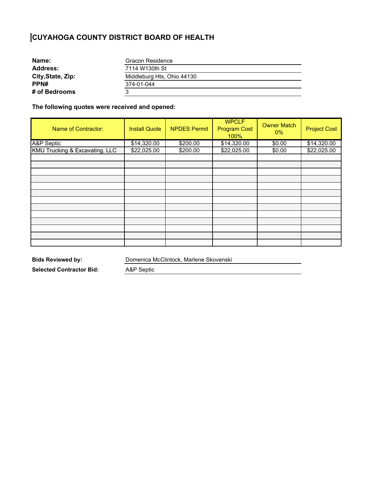| Gracon Residence           |  |
|----------------------------|--|
| 7114 W130th St             |  |
| Middleburg Hts, Ohio 44130 |  |
| 374-01-044                 |  |
|                            |  |
|                            |  |

**The following quotes were received and opened:** 

| Name of Contractor:            | <b>Install Quote</b> | <b>NPDES Permit</b> | <b>WPCLF</b><br><b>Program Cost</b><br>100% | <b>Owner Match</b><br>$0\%$ | <b>Project Cost</b> |
|--------------------------------|----------------------|---------------------|---------------------------------------------|-----------------------------|---------------------|
| A&P Septic                     | \$14,320.00          | \$200.00            | \$14,320.00                                 | \$0.00                      | \$14,320.00         |
| KMU Trucking & Excavating, LLC | \$22,025.00          | \$200.00            | \$22,025.00                                 | \$0.00                      | \$22,025.00         |
|                                |                      |                     |                                             |                             |                     |
|                                |                      |                     |                                             |                             |                     |
|                                |                      |                     |                                             |                             |                     |
|                                |                      |                     |                                             |                             |                     |
|                                |                      |                     |                                             |                             |                     |
|                                |                      |                     |                                             |                             |                     |
|                                |                      |                     |                                             |                             |                     |
|                                |                      |                     |                                             |                             |                     |
|                                |                      |                     |                                             |                             |                     |
|                                |                      |                     |                                             |                             |                     |
|                                |                      |                     |                                             |                             |                     |
|                                |                      |                     |                                             |                             |                     |
|                                |                      |                     |                                             |                             |                     |

**Bids Reviewed by:** 

Domenica McClintock, Marlene Skovenski

**Selected Contractor Bid:** 

A&P Septic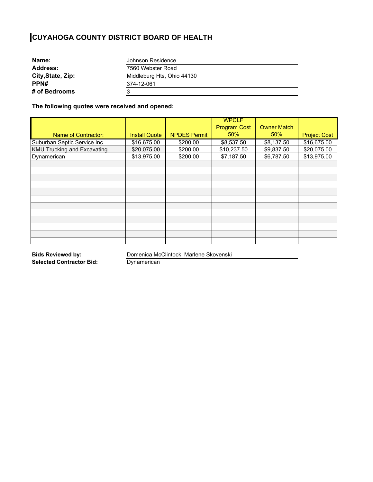| Name:             | Johnson Residence          |  |
|-------------------|----------------------------|--|
| <b>Address:</b>   | 7560 Webster Road          |  |
| City, State, Zip: | Middleburg Hts, Ohio 44130 |  |
| PPN#              | 374-12-061                 |  |
| # of Bedrooms     |                            |  |

**The following quotes were received and opened:** 

|                                    |                      |                     | <b>WPCLF</b>        |                    |                     |
|------------------------------------|----------------------|---------------------|---------------------|--------------------|---------------------|
|                                    |                      |                     | <b>Program Cost</b> | <b>Owner Match</b> |                     |
| Name of Contractor:                | <b>Install Quote</b> | <b>NPDES Permit</b> | 50%                 | 50%                | <b>Project Cost</b> |
| Suburban Septic Service Inc        | \$16,675.00          | \$200.00            | \$8,537.50          | \$8,137.50         | \$16,675.00         |
| <b>KMU Trucking and Excavating</b> | \$20,075.00          | \$200.00            | \$10,237.50         | \$9,837.50         | \$20,075.00         |
| Dynamerican                        | \$13,975.00          | \$200.00            | \$7,187.50          | \$6,787.50         | \$13,975.00         |
|                                    |                      |                     |                     |                    |                     |
|                                    |                      |                     |                     |                    |                     |
|                                    |                      |                     |                     |                    |                     |
|                                    |                      |                     |                     |                    |                     |
|                                    |                      |                     |                     |                    |                     |
|                                    |                      |                     |                     |                    |                     |
|                                    |                      |                     |                     |                    |                     |
|                                    |                      |                     |                     |                    |                     |
|                                    |                      |                     |                     |                    |                     |
|                                    |                      |                     |                     |                    |                     |
|                                    |                      |                     |                     |                    |                     |
|                                    |                      |                     |                     |                    |                     |

**Bids Reviewed by: Selected Contractor Bid:**  Domenica McClintock, Marlene Skovenski

**Dynamerican**